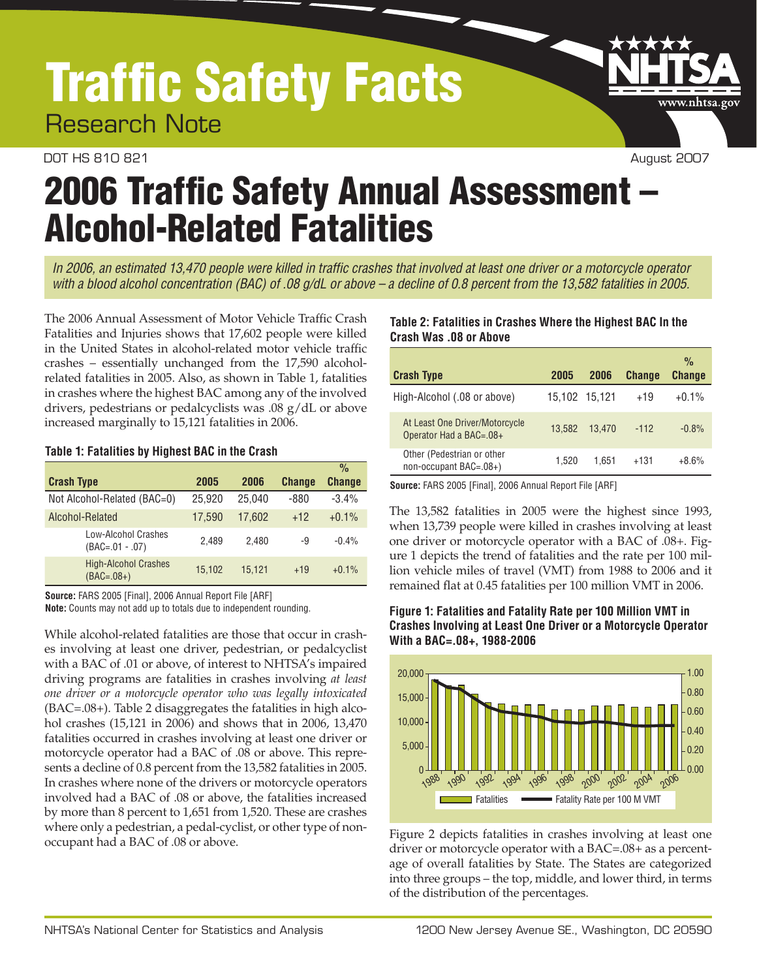# Traffic Safety Facts

Research Note

#### DOT HS 810 821 August 2007

www.nhtsa.go<sup>.</sup>

# 2006 Traffic Safety Annual Assessment – Alcohol-Related Fatalities

*In 2006, an estimated 13,470 people were killed in traffic crashes that involved at least one driver or a motorcycle operator with a blood alcohol concentration (BAC) of .08 g/dL or above – a decline of 0.8 percent from the 13,582 fatalities in 2005.*

The 2006 Annual Assessment of Motor Vehicle Traffic Crash Fatalities and Injuries shows that 17,602 people were killed in the United States in alcohol-related motor vehicle traffic crashes – essentially unchanged from the 17,590 alcoholrelated fatalities in 2005. Also, as shown in Table 1, fatalities in crashes where the highest BAC among any of the involved drivers, pedestrians or pedalcyclists was .08 g/dL or above increased marginally to 15,121 fatalities in 2006.

#### **Table 1: Fatalities by Highest BAC in the Crash**

|                                             |        |        |               | $\frac{0}{0}$ |
|---------------------------------------------|--------|--------|---------------|---------------|
| <b>Crash Type</b>                           | 2005   | 2006   | <b>Change</b> | <b>Change</b> |
| Not Alcohol-Related (BAC=0)                 | 25.920 | 25.040 | $-880$        | $-3.4%$       |
| Alcohol-Related                             | 17.590 | 17.602 | $+12$         | $+0.1\%$      |
| Low-Alcohol Crashes<br>$(BAC=.01-.07)$      | 2.489  | 2.480  | -9            | $-0.4%$       |
| <b>High-Alcohol Crashes</b><br>$(BAC=.08+)$ | 15.102 | 15.121 | $+19$         | $+0.1%$       |

**Source:** FARS 2005 [Final], 2006 Annual Report File [ARF]

**Note:** Counts may not add up to totals due to independent rounding.

While alcohol-related fatalities are those that occur in crashes involving at least one driver, pedestrian, or pedalcyclist with a BAC of .01 or above, of interest to NHTSA's impaired driving programs are fatalities in crashes involving *at least one driver or a motorcycle operator who was legally intoxicated*  (BAC=.08+). Table 2 disaggregates the fatalities in high alcohol crashes (15,121 in 2006) and shows that in 2006, 13,470 fatalities occurred in crashes involving at least one driver or motorcycle operator had a BAC of .08 or above. This represents a decline of 0.8 percent from the 13,582 fatalities in 2005. In crashes where none of the drivers or motorcycle operators involved had a BAC of .08 or above, the fatalities increased by more than 8 percent to 1,651 from 1,520. These are crashes where only a pedestrian, a pedal-cyclist, or other type of nonoccupant had a BAC of .08 or above.

#### **Table 2: Fatalities in Crashes Where the Highest BAC In the Crash Was .08 or Above**

| <b>Crash Type</b>                                         | 2005          | 2006   | <b>Change</b> | $\frac{0}{0}$<br><b>Change</b> |
|-----------------------------------------------------------|---------------|--------|---------------|--------------------------------|
| High-Alcohol (.08 or above)                               | 15.102 15.121 |        | $+19$         | $+0.1%$                        |
| At Least One Driver/Motorcycle<br>Operator Had a BAC=.08+ | 13.582        | 13.470 | $-112$        | $-0.8%$                        |
| Other (Pedestrian or other<br>non-occupant BAC=.08+)      | 1.520         | 1.651  | $+131$        | $+8.6%$                        |

**Source:** FARS 2005 [Final], 2006 Annual Report File [ARF]

The 13,582 fatalities in 2005 were the highest since 1993, when 13,739 people were killed in crashes involving at least one driver or motorcycle operator with a BAC of .08+. Figure 1 depicts the trend of fatalities and the rate per 100 million vehicle miles of travel (VMT) from 1988 to 2006 and it remained flat at 0.45 fatalities per 100 million VMT in 2006.





Figure 2 depicts fatalities in crashes involving at least one driver or motorcycle operator with a BAC=.08+ as a percentage of overall fatalities by State. The States are categorized into three groups – the top, middle, and lower third, in terms of the distribution of the percentages.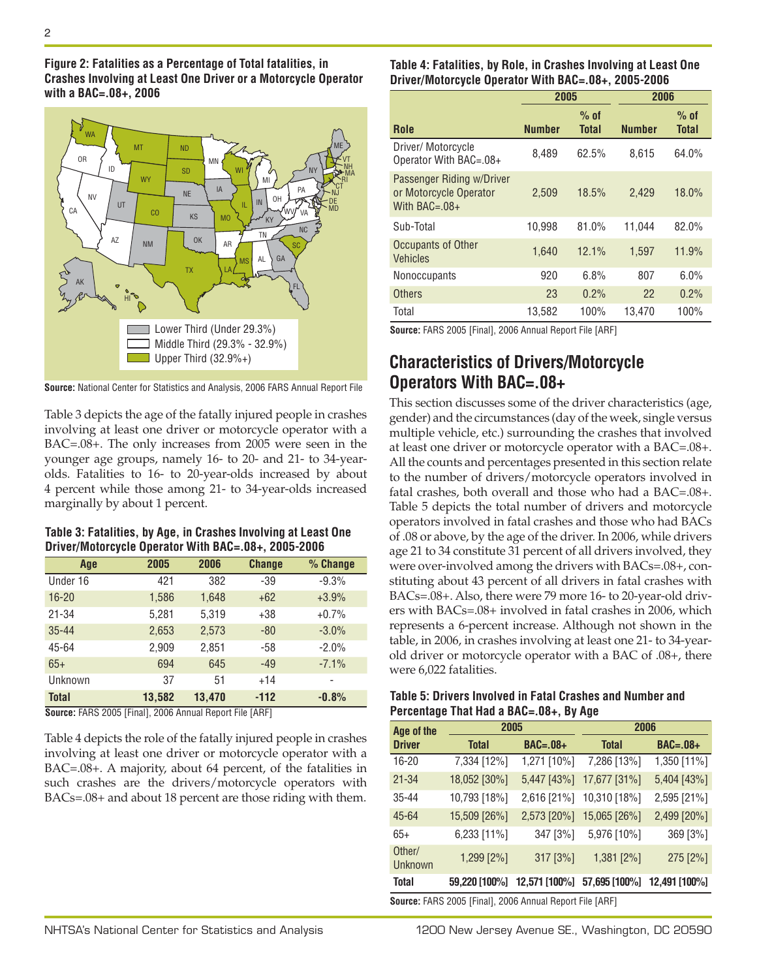

**Source:** National Center for Statistics and Analysis, 2006 FARS Annual Report File

Table 3 depicts the age of the fatally injured people in crashes involving at least one driver or motorcycle operator with a BAC=.08+. The only increases from 2005 were seen in the younger age groups, namely 16- to 20- and 21- to 34-yearolds. Fatalities to 16- to 20-year-olds increased by about 4 percent while those among 21- to 34-year-olds increased marginally by about 1 percent.

**Table 3: Fatalities, by Age, in Crashes Involving at Least One Driver/Motorcycle Operator With BAC=.08+, 2005-2006**

| Age          | 2005   | 2006   | <b>Change</b> | % Change |
|--------------|--------|--------|---------------|----------|
| Under 16     | 421    | 382    | $-39$         | $-9.3%$  |
| $16 - 20$    | 1,586  | 1,648  | $+62$         | $+3.9%$  |
| $21 - 34$    | 5,281  | 5,319  | $+38$         | $+0.7%$  |
| $35 - 44$    | 2,653  | 2,573  | $-80$         | $-3.0%$  |
| 45-64        | 2,909  | 2,851  | $-58$         | $-2.0%$  |
| $65+$        | 694    | 645    | $-49$         | $-7.1%$  |
| Unknown      | 37     | 51     | $+14$         |          |
| <b>Total</b> | 13.582 | 13.470 | $-112$        | $-0.8%$  |

**Source:** FARS 2005 [Final], 2006 Annual Report File [ARF]

Table 4 depicts the role of the fatally injured people in crashes involving at least one driver or motorcycle operator with a BAC=.08+. A majority, about 64 percent, of the fatalities in such crashes are the drivers/motorcycle operators with BACs=.08+ and about 18 percent are those riding with them. **Table 4: Fatalities, by Role, in Crashes Involving at Least One Driver/Motorcycle Operator With BAC=.08+, 2005-2006**

|                                                                           | 2005          |                 | 2006          |                        |
|---------------------------------------------------------------------------|---------------|-----------------|---------------|------------------------|
| Role                                                                      | <b>Number</b> | $%$ of<br>Total | <b>Number</b> | $%$ of<br><b>Total</b> |
| Driver/ Motorcycle<br>Operator With BAC=.08+                              | 8,489         | 62.5%           | 8,615         | 64.0%                  |
| Passenger Riding w/Driver<br>or Motorcycle Operator<br>With $BAC = .08 +$ | 2.509         | 18.5%           | 2.429         | 18.0%                  |
| Sub-Total                                                                 | 10.998        | 81.0%           | 11,044        | 82.0%                  |
| <b>Occupants of Other</b><br><b>Vehicles</b>                              | 1,640         | 12.1%           | 1,597         | 11.9%                  |
| <b>Nonoccupants</b>                                                       | 920           | 6.8%            | 807           | 6.0%                   |
| <b>Others</b>                                                             | 23            | 0.2%            | 22            | 0.2%                   |
| Total                                                                     | 13,582        | 100%            | 13.470        | 100%                   |

**Source:** FARS 2005 [Final], 2006 Annual Report File [ARF]

### **Characteristics of Drivers/Motorcycle Operators With BAC=.08+**

This section discusses some of the driver characteristics (age, gender) and the circumstances (day of the week, single versus multiple vehicle, etc.) surrounding the crashes that involved at least one driver or motorcycle operator with a BAC=.08+. All the counts and percentages presented in this section relate to the number of drivers/motorcycle operators involved in fatal crashes, both overall and those who had a BAC=.08+. Table 5 depicts the total number of drivers and motorcycle operators involved in fatal crashes and those who had BACs of .08 or above, by the age of the driver. In 2006, while drivers age 21 to 34 constitute 31 percent of all drivers involved, they were over-involved among the drivers with BACs=.08+, constituting about 43 percent of all drivers in fatal crashes with BACs=.08+. Also, there were 79 more 16- to 20-year-old drivers with BACs=.08+ involved in fatal crashes in 2006, which represents a 6-percent increase. Although not shown in the table, in 2006, in crashes involving at least one 21- to 34-yearold driver or motorcycle operator with a BAC of .08+, there were 6,022 fatalities.

| Table 5: Drivers Involved in Fatal Crashes and Number and |  |
|-----------------------------------------------------------|--|
| Percentage That Had a BAC=.08+, By Age                    |  |

| 2005<br><b>Total</b><br>7,334 [12%] | $BAC=.08+$<br>1,271 [10%] | 2006<br><b>Total</b><br>7,286 [13%] | $BAC=.08+$                  |
|-------------------------------------|---------------------------|-------------------------------------|-----------------------------|
|                                     |                           |                                     |                             |
|                                     |                           |                                     |                             |
|                                     |                           |                                     | 1,350 [11%]                 |
| 18,052 [30%]                        | 5,447 [43%]               | 17,677 [31%]                        | 5,404 [43%]                 |
| 10,793 [18%]                        | 2,616 [21%]               | 10,310 [18%]                        | 2,595 [21%]                 |
| 15,509 [26%]                        | 2,573 [20%]               | 15,065 [26%]                        | 2,499 [20%]                 |
| 6,233 [11%]                         | 347 [3%]                  | 5,976 [10%]                         | 369 [3%]                    |
| 1,299 [2%]                          | 317 [3%]                  | 1,381 [2%]                          | 275 [2%]                    |
| 59,220 [100%]                       |                           |                                     | 12,491 [100%]               |
|                                     |                           |                                     | 12,571 [100%] 57,695 [100%] |

**Source:** FARS 2005 [Final], 2006 Annual Report File [ARF]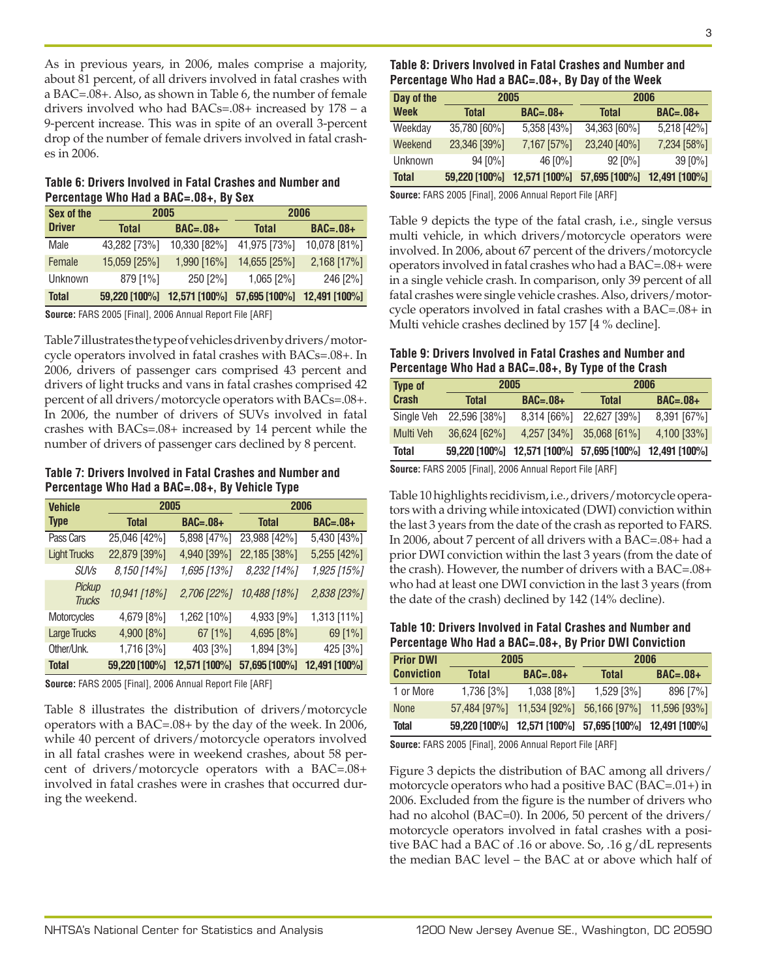As in previous years, in 2006, males comprise a majority, about 81 percent, of all drivers involved in fatal crashes with a BAC=.08+. Also, as shown in Table 6, the number of female drivers involved who had BACs=.08+ increased by 178 – a 9-percent increase. This was in spite of an overall 3-percent drop of the number of female drivers involved in fatal crashes in 2006.

#### **Table 6: Drivers Involved in Fatal Crashes and Number and Percentage Who Had a BAC=.08+, By Sex**

| Sex of the    | 2005            |               | 2006          |               |
|---------------|-----------------|---------------|---------------|---------------|
| <b>Driver</b> | <b>Total</b>    | $BAC=.08+$    | <b>Total</b>  | $BAC=.08+$    |
| Male          | 43,282 [73%]    | 10,330 [82%]  | 41,975 [73%]  | 10,078 [81%]  |
| Female        | 15,059 [25%]    | 1,990 [16%]   | 14,655 [25%]  | $2,168$ [17%] |
| Unknown       | 879 [1%]        | 250 [2%]      | $1,065$ [2%]  | 246 [2%]      |
| <b>Total</b>  | $59,220$ [100%] | 12,571 [100%] | 57,695 [100%] | 12,491 [100%] |

**Source:** FARS 2005 [Final], 2006 Annual Report File [ARF]

Table 7 illustrates the type of vehicles driven by drivers/motorcycle operators involved in fatal crashes with BACs=.08+. In 2006, drivers of passenger cars comprised 43 percent and drivers of light trucks and vans in fatal crashes comprised 42 percent of all drivers/motorcycle operators with BACs=.08+. In 2006, the number of drivers of SUVs involved in fatal crashes with BACs=.08+ increased by 14 percent while the number of drivers of passenger cars declined by 8 percent.

**Table 7: Drivers Involved in Fatal Crashes and Number and Percentage Who Had a BAC=.08+, By Vehicle Type**

| <b>Vehicle</b>          | 2005          |                 |               | 2006            |
|-------------------------|---------------|-----------------|---------------|-----------------|
| <b>Type</b>             | <b>Total</b>  | <b>BAC=.08+</b> | <b>Total</b>  | <b>BAC=.08+</b> |
| Pass Cars               | 25,046 [42%]  | 5,898 [47%]     | 23,988 [42%]  | 5,430 [43%]     |
| <b>Light Trucks</b>     | 22,879 [39%]  | 4,940 [39%]     | 22,185 [38%]  | 5,255 [42%]     |
| <b>SUVs</b>             | 8,150 [14%]   | 1,695 [13%]     | 8,232 [14%]   | 1,925 [15%]     |
| Pickup<br><b>Trucks</b> | 10,941 [18%]  | $2,706$ [22%]   | 10,488 [18%]  | 2,838 [23%]     |
| Motorcycles             | 4,679 [8%]    | 1,262 [10%]     | 4,933 [9%]    | 1,313 [11%]     |
| <b>Large Trucks</b>     | 4,900 [8%]    | $67$ [1%]       | 4,695 [8%]    | 69 [1%]         |
| Other/Unk.              | 1,716 [3%]    | 403 [3%]        | 1,894 [3%]    | 425 [3%]        |
| <b>Total</b>            | 59,220 [100%] | 12,571 [100%]   | 57,695 [100%] | 12,491 [100%]   |

**Source:** FARS 2005 [Final], 2006 Annual Report File [ARF]

Table 8 illustrates the distribution of drivers/motorcycle operators with a BAC=.08+ by the day of the week. In 2006, while 40 percent of drivers/motorcycle operators involved in all fatal crashes were in weekend crashes, about 58 percent of drivers/motorcycle operators with a BAC=.08+ involved in fatal crashes were in crashes that occurred during the weekend.

#### **Table 8: Drivers Involved in Fatal Crashes and Number and Percentage Who Had a BAC=.08+, By Day of the Week**

| Day of the   | 2005            |                 |                 | 2006          |
|--------------|-----------------|-----------------|-----------------|---------------|
| <b>Week</b>  | <b>Total</b>    | $BAC=.08+$      | <b>Total</b>    | $BAC=.08+$    |
| Weekday      | 35,780 [60%]    | 5,358 [43%]     | 34,363 [60%]    | 5,218 [42%]   |
| Weekend      | 23,346 [39%]    | 7,167 [57%]     | 23,240 [40%]    | 7,234 [58%]   |
| Unknown      | $94 [0\%]$      | 46 [0%]         | $92 [0\%]$      | 39[0%]        |
| <b>Total</b> | $59,220$ [100%] | $12,571$ [100%] | $57,695$ [100%] | 12,491 [100%] |

**Source:** FARS 2005 [Final], 2006 Annual Report File [ARF]

Table 9 depicts the type of the fatal crash, i.e., single versus multi vehicle, in which drivers/motorcycle operators were involved. In 2006, about 67 percent of the drivers/motorcycle operators involved in fatal crashes who had a BAC=.08+ were in a single vehicle crash. In comparison, only 39 percent of all fatal crashes were single vehicle crashes. Also, drivers/motorcycle operators involved in fatal crashes with a BAC=.08+ in Multi vehicle crashes declined by 157 [4 % decline].

#### **Table 9: Drivers Involved in Fatal Crashes and Number and Percentage Who Had a BAC=.08+, By Type of the Crash**

| <b>Type of</b> | 2005           |                                                         |                            | 2006        |
|----------------|----------------|---------------------------------------------------------|----------------------------|-------------|
| <b>Crash</b>   | <b>Total</b>   | $BAC=.08+$                                              | <b>Total</b>               | $BAC=.08+$  |
| Single Veh     | 22,596 [38%]   |                                                         | 8,314 [66%] 22,627 [39%]   | 8,391 [67%] |
| Multi Veh      | $36,624$ [62%] |                                                         | $4,257$ [34%] 35,068 [61%] | 4,100 [33%] |
| Total          |                | 59,220 [100%] 12,571 [100%] 57,695 [100%] 12,491 [100%] |                            |             |

**Source:** FARS 2005 [Final], 2006 Annual Report File [ARF]

Table 10 highlights recidivism, i.e., drivers/motorcycle operators with a driving while intoxicated (DWI) conviction within the last 3 years from the date of the crash as reported to FARS. In 2006, about 7 percent of all drivers with a BAC=.08+ had a prior DWI conviction within the last 3 years (from the date of the crash). However, the number of drivers with a BAC=.08+ who had at least one DWI conviction in the last 3 years (from the date of the crash) declined by 142 (14% decline).

**Table 10: Drivers Involved in Fatal Crashes and Number and Percentage Who Had a BAC=.08+, By Prior DWI Conviction**

| <b>Prior DWI</b>  | 2005         |                                                         |              | 2006           |
|-------------------|--------------|---------------------------------------------------------|--------------|----------------|
| <b>Conviction</b> | <b>Total</b> | $BAC=.08+$                                              | <b>Total</b> | $BAC=.08+$     |
| 1 or More         | 1,736 [3%]   | $1,038$ [8%]                                            | $1,529$ [3%] | 896 [7%]       |
| <b>None</b>       |              | 57,484 [97%] 11,534 [92%] 56,166 [97%]                  |              | $11,596$ [93%] |
| Total             |              | 59,220 [100%] 12,571 [100%] 57,695 [100%] 12,491 [100%] |              |                |

**Source:** FARS 2005 [Final], 2006 Annual Report File [ARF]

Figure 3 depicts the distribution of BAC among all drivers/ motorcycle operators who had a positive BAC (BAC=.01+) in 2006. Excluded from the figure is the number of drivers who had no alcohol (BAC=0). In 2006, 50 percent of the drivers/ motorcycle operators involved in fatal crashes with a positive BAC had a BAC of .16 or above. So, .16 g/dL represents the median BAC level – the BAC at or above which half of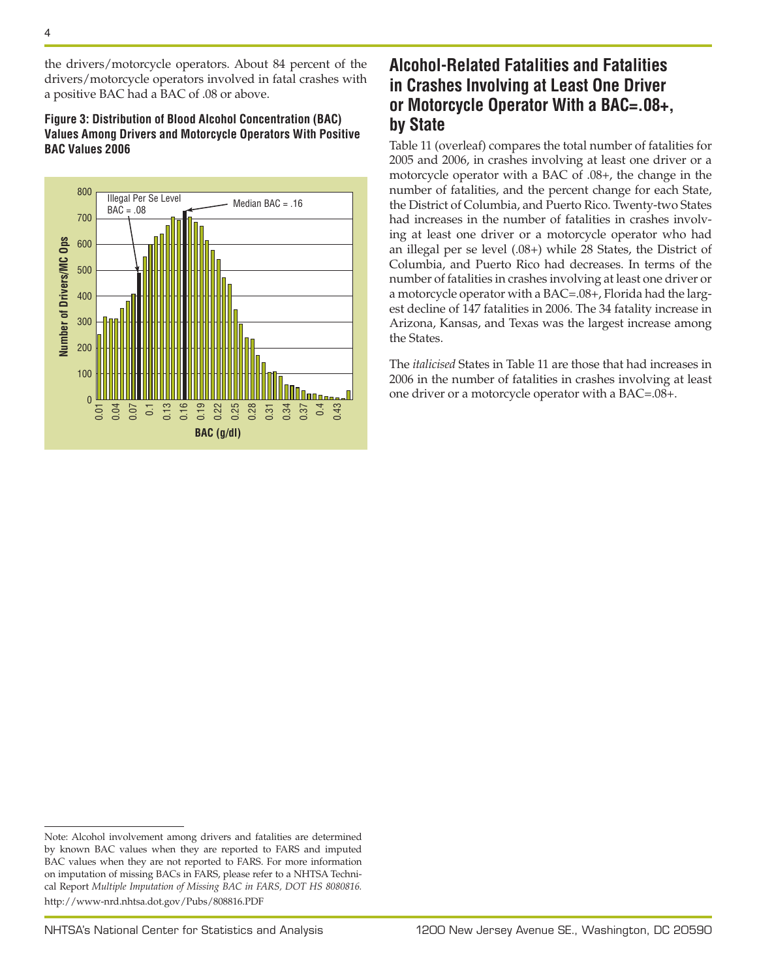the drivers/motorcycle operators. About 84 percent of the drivers/motorcycle operators involved in fatal crashes with a positive BAC had a BAC of .08 or above.

#### **Figure 3: Distribution of Blood Alcohol Concentration (BAC) Values Among Drivers and Motorcycle Operators With Positive BAC Values 2006**



## **Alcohol-Related Fatalities and Fatalities in Crashes Involving at Least One Driver or Motorcycle Operator With a BAC=.08+, by State**

Table 11 (overleaf) compares the total number of fatalities for 2005 and 2006, in crashes involving at least one driver or a motorcycle operator with a BAC of .08+, the change in the number of fatalities, and the percent change for each State, the District of Columbia, and Puerto Rico. Twenty-two States had increases in the number of fatalities in crashes involving at least one driver or a motorcycle operator who had an illegal per se level (.08+) while 28 States, the District of Columbia, and Puerto Rico had decreases. In terms of the number of fatalities in crashes involving at least one driver or a motorcycle operator with a BAC=.08+, Florida had the largest decline of 147 fatalities in 2006. The 34 fatality increase in Arizona, Kansas, and Texas was the largest increase among the States.

The *italicised* States in Table 11 are those that had increases in 2006 in the number of fatalities in crashes involving at least one driver or a motorcycle operator with a BAC=.08+.

Note: Alcohol involvement among drivers and fatalities are determined by known BAC values when they are reported to FARS and imputed BAC values when they are not reported to FARS. For more information on imputation of missing BACs in FARS, please refer to a NHTSA Technical Report *Multiple Imputation of Missing BAC in FARS, DOT HS 8080816.* <http://www-nrd.nhtsa.dot.gov/Pubs/808816.PDF>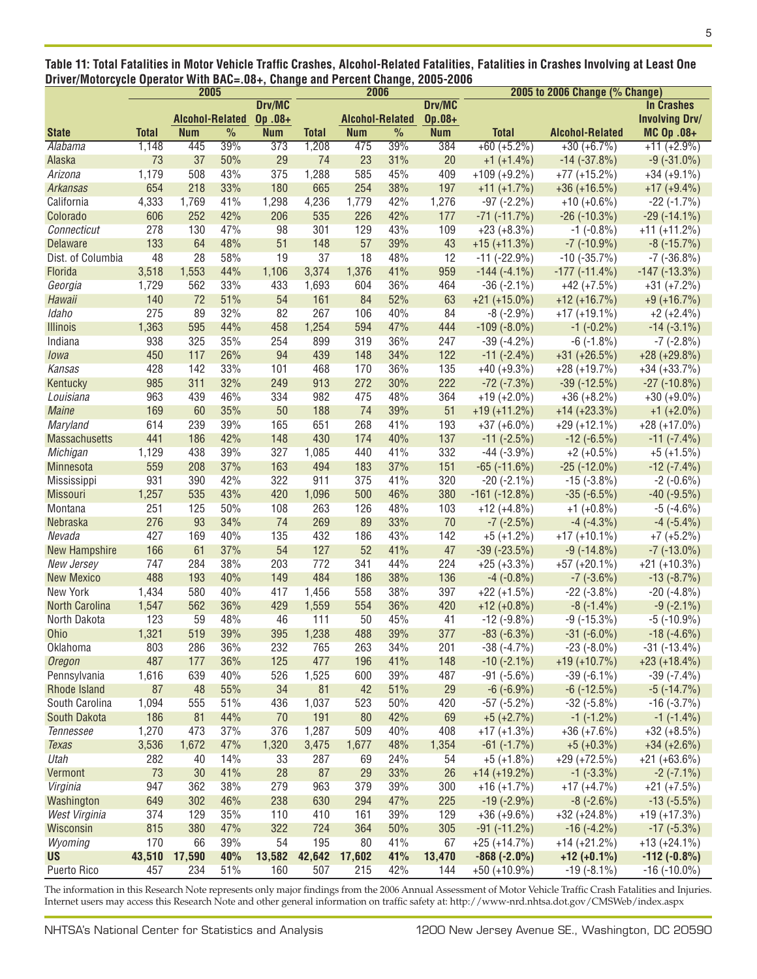| Table 11: Total Fatalities in Motor Vehicle Traffic Crashes, Alcohol-Related Fatalities, Fatalities in Crashes Involving at Least One |  |
|---------------------------------------------------------------------------------------------------------------------------------------|--|
| Driver/Motorcycle Operator With BAC=.08+, Change and Percent Change, 2005-2006                                                        |  |

|                       | 2005         |                        |      |            | 2006         |                        |               |            | 2005 to 2006 Change (% Change) |                        |                       |
|-----------------------|--------------|------------------------|------|------------|--------------|------------------------|---------------|------------|--------------------------------|------------------------|-----------------------|
|                       |              |                        |      | Drv/MC     |              |                        |               | Drv/MC     |                                |                        | <b>In Crashes</b>     |
|                       |              | <b>Alcohol-Related</b> |      | Op.08+     |              | <b>Alcohol-Related</b> |               | Op.08+     |                                |                        | <b>Involving Drv/</b> |
| <b>State</b>          | <b>Total</b> | <b>Num</b>             | $\%$ | <b>Num</b> | <b>Total</b> | <b>Num</b>             | $\frac{0}{0}$ | <b>Num</b> | <b>Total</b>                   | <b>Alcohol-Related</b> | MC Op .08+            |
| Alabama               | 1,148        | 445                    | 39%  | 373        | 1,208        | 475                    | 39%           | 384        | $+60 (+5.2\%)$                 | $+30 (+6.7%)$          | $+11 (+2.9\%)$        |
| Alaska                | 73           | 37                     | 50%  | 29         | 74           | 23                     | 31%           | 20         | $+1$ (+1.4%)                   | $-14$ $(-37.8%)$       | $-9(-31.0\%)$         |
| Arizona               | 1,179        | 508                    | 43%  | 375        | 1,288        | 585                    | 45%           | 409        | $+109 (+9.2\%)$                | $+77 (+15.2%)$         | $+34 (+9.1\%)$        |
| Arkansas              | 654          | 218                    | 33%  | 180        | 665          | 254                    | 38%           | 197        | $+11 (+1.7%)$                  | $+36 (+16.5%)$         | $+17 (+9.4\%)$        |
| California            | 4,333        | 1,769                  | 41%  | 1,298      | 4,236        | 1,779                  | 42%           | 1,276      | $-97$ $(-2.2\%)$               | $+10 (+0.6\%)$         | $-22$ ( $-1.7\%$ )    |
| Colorado              | 606          | 252                    | 42%  | 206        | 535          | 226                    | 42%           | 177        | $-71$ $(-11.7%)$               | $-26$ ( $-10.3\%$ )    | $-29(-14.1\%)$        |
| Connecticut           | 278          | 130                    | 47%  | 98         | 301          | 129                    | 43%           | 109        | $+23 (+8.3\%)$                 | $-1$ ( $-0.8\%$ )      | $+11 (+11.2%)$        |
| <b>Delaware</b>       | 133          | 64                     | 48%  | 51         | 148          | 57                     | 39%           | 43         | $+15 (+11.3%)$                 | $-7$ ( $-10.9%$ )      | $-8$ ( $-15.7\%$ )    |
| Dist. of Columbia     | 48           | 28                     | 58%  | 19         | 37           | 18                     | 48%           | 12         | $-11$ ( $-22.9%$ )             | $-10$ ( $-35.7\%$ )    | $-7$ ( $-36.8\%$ )    |
| Florida               | 3,518        | 1,553                  | 44%  | 1,106      | 3,374        | 1,376                  | 41%           | 959        | $-144(-4.1\%)$                 | $-177$ $(-11.4\%)$     | $-147$ ( $-13.3\%$ )  |
| Georgia               | 1,729        | 562                    | 33%  | 433        | 1,693        | 604                    | 36%           | 464        | $-36(-2.1\%)$                  | $+42 (+7.5%)$          | $+31 (+7.2%)$         |
| Hawaii                | 140          | 72                     | 51%  | 54         | 161          | 84                     | 52%           | 63         | $+21 (+15.0\%)$                | $+12 (+16.7%)$         | $+9 (+16.7%)$         |
| Idaho                 | 275          | 89                     | 32%  | 82         | 267          | 106                    | 40%           | 84         | $-8$ ( $-2.9%$ )               | $+17 (+19.1\%)$        | $+2 (+2.4\%)$         |
| <b>Illinois</b>       | 1,363        | 595                    | 44%  | 458        | 1,254        | 594                    | 47%           | 444        | $-109(-8.0\%)$                 | $-1$ $(-0.2\%)$        | $-14(-3.1\%)$         |
| Indiana               | 938          | 325                    | 35%  | 254        | 899          | 319                    | 36%           | 247        | $-39(-4.2\%)$                  | $-6$ $(-1.8\%)$        | $-7$ ( $-2.8\%$ )     |
| lowa                  | 450          | 117                    | 26%  | 94         | 439          | 148                    | 34%           | 122        | $-11$ $(-2.4\%)$               | $+31 (+26.5%)$         | $+28 (+29.8%)$        |
| Kansas                | 428          | 142                    | 33%  | 101        | 468          | 170                    | 36%           | 135        | $+40 (+9.3\%)$                 | $+28 (+19.7%)$         | $+34 (+33.7%)$        |
| Kentucky              | 985          | 311                    | 32%  | 249        | 913          | 272                    | 30%           | 222        | $-72$ $(-7.3%)$                | $-39(-12.5%)$          | $-27$ ( $-10.8\%$ )   |
| Louisiana             | 963          | 439                    | 46%  | 334        | 982          | 475                    | 48%           | 364        | $+19 (+2.0\%)$                 | $+36 (+8.2\%)$         | $+30 (+9.0\%)$        |
| <b>Maine</b>          | 169          | 60                     | 35%  | 50         | 188          | 74                     | 39%           | 51         | $+19 (+11.2%)$                 | $+14 (+23.3%)$         | $+1$ (+2.0%)          |
| <b>Maryland</b>       | 614          | 239                    | 39%  | 165        | 651          | 268                    | 41%           | 193        | $+37 (+6.0\%)$                 | $+29 (+12.1\%)$        | $+28 (+17.0\%)$       |
|                       | 441          | 186                    | 42%  | 148        | 430          | 174                    | 40%           | 137        |                                | $-12$ ( $-6.5\%$ )     |                       |
| <b>Massachusetts</b>  |              |                        |      | 327        |              |                        |               |            | $-11$ $(-2.5%)$                |                        | $-11(-7.4\%)$         |
| Michigan              | 1,129        | 438                    | 39%  |            | 1,085        | 440                    | 41%           | 332        | $-44$ ( $-3.9\%$ )             | $+2 (+0.5\%)$          | $+5 (+1.5%)$          |
| Minnesota             | 559          | 208                    | 37%  | 163        | 494          | 183                    | 37%           | 151        | $-65$ ( $-11.6\%$ )            | $-25$ ( $-12.0\%$ )    | $-12$ ( $-7.4\%$ )    |
| Mississippi           | 931          | 390                    | 42%  | 322        | 911          | 375                    | 41%           | 320        | $-20$ $(-2.1\%)$               | $-15$ ( $-3.8\%$ )     | $-2$ ( $-0.6\%$ )     |
| <b>Missouri</b>       | 1,257        | 535                    | 43%  | 420        | 1,096        | 500                    | 46%           | 380        | $-161$ $(-12.8%)$              | $-35(-6.5%)$           | $-40$ ( $-9.5\%$ )    |
| Montana               | 251          | 125                    | 50%  | 108        | 263          | 126                    | 48%           | 103        | $+12 (+4.8\%)$                 | $+1 (+0.8\%)$          | $-5$ ( $-4.6\%$ )     |
| <b>Nebraska</b>       | 276          | 93                     | 34%  | 74         | 269          | 89                     | 33%           | 70         | $-7$ ( $-2.5\%$ )              | $-4$ $(-4.3\%)$        | $-4$ $(-5.4\%)$       |
| Nevada                | 427          | 169                    | 40%  | 135        | 432          | 186                    | 43%           | 142        | $+5 (+1.2%)$                   | $+17 (+10.1\%)$        | $+7$ ( $+5.2\%$ )     |
| <b>New Hampshire</b>  | 166          | 61                     | 37%  | 54         | 127          | 52                     | 41%           | 47         | $-39$ ( $-23.5%$ )             | $-9(-14.8%)$           | $-7$ ( $-13.0\%$ )    |
| New Jersey            | 747          | 284                    | 38%  | 203        | 772          | 341                    | 44%           | 224        | $+25 (+3.3\%)$                 | $+57 (+20.1%)$         | $+21 (+10.3%)$        |
| <b>New Mexico</b>     | 488          | 193                    | 40%  | 149        | 484          | 186                    | 38%           | 136        | $-4$ $(-0.8\%)$                | $-7$ ( $-3.6\%$ )      | $-13(-8.7%)$          |
| New York              | 1,434        | 580                    | 40%  | 417        | 1,456        | 558                    | 38%           | 397        | $+22 (+1.5%)$                  | $-22$ ( $-3.8\%$ )     | $-20$ ( $-4.8\%$ )    |
| <b>North Carolina</b> | 1,547        | 562                    | 36%  | 429        | 1,559        | 554                    | 36%           | 420        | $+12 (+0.8\%)$                 | $-8(-1.4\%)$           | $-9(-2.1\%)$          |
| North Dakota          | 123          | 59                     | 48%  | 46         | 111          | 50                     | 45%           | 41         | $-12$ $(-9.8\%)$               | $-9$ ( $-15.3\%$ )     | $-5$ ( $-10.9%$ )     |
| Ohio                  | 1,321        | 519                    | 39%  | 395        | 1,238        | 488                    | 39%           | 377        | $-83(-6.3%)$                   | $-31(-6.0\%)$          | $-18(-4.6%)$          |
| Oklahoma              | 803          | 286                    | 36%  | 232        | 765          | 263                    | 34%           | 201        | $-38(-4.7%)$                   | $-23$ $(-8.0\%)$       | $-31$ ( $-13.4\%$ )   |
| Oregon                | 487          | 177                    | 36%  | 125        | 477          | 196                    | 41%           | 148        | $-10(-2.1\%)$                  | $+19 (+10.7%)$         | $+23 (+18.4\%)$       |
| Pennsylvania          | 1,616        | 639                    | 40%  | 526        | 1,525        | 600                    | 39%           | 487        | $-91 (+5.6\%)$                 | $-39(-6.1\%)$          | $-39(-7.4%)$          |
| Rhode Island          | 87           | 48                     | 55%  | 34         | 81           | 42                     | 51%           | 29         | $-6(-6.9%)$                    | $-6$ ( $-12.5\%$ )     | $-5$ ( $-14.7\%$ )    |
| South Carolina        | 1,094        | 555                    | 51%  | 436        | 1,037        | 523                    | 50%           | 420        | $-57$ $(-5.2\%)$               | $-32$ ( $-5.8\%$ )     | $-16(-3.7%)$          |
| South Dakota          | 186          | 81                     | 44%  | 70         | 191          | 80                     | 42%           | 69         | $+5 (+2.7%)$                   | $-1$ $(-1.2\%)$        | $-1$ $(-1.4\%)$       |
| Tennessee             | 1,270        | 473                    | 37%  | 376        | 1,287        | 509                    | 40%           | 408        | $+17 (+1.3\%)$                 | $+36 (+7.6%)$          | $+32 (+8.5%)$         |
| <b>Texas</b>          | 3,536        | 1,672                  | 47%  | 1,320      | 3,475        | 1,677                  | 48%           | 1,354      | $-61(-1.7%)$                   | $+5 (+0.3%)$           | $+34 (+2.6%)$         |
| Utah                  | 282          | 40                     | 14%  | 33         | 287          | 69                     | 24%           | 54         | $+5 (+1.8\%)$                  | $+29 (+72.5%)$         | $+21 (+63.6%)$        |
| Vermont               | 73           | 30                     | 41%  | 28         | 87           | 29                     | 33%           | 26         | $+14 (+19.2\%)$                | $-1$ $(-3.3\%)$        | $-2$ ( $-7.1\%$ )     |
| Virginia              | 947          | 362                    | 38%  | 279        | 963          | 379                    | 39%           | 300        | $+16 (+1.7%)$                  | $+17 (+4.7%)$          | $+21 (+7.5%)$         |
| Washington            | 649          | 302                    | 46%  | 238        | 630          | 294                    | 47%           | 225        | $-19(-2.9%)$                   | $-8$ ( $-2.6\%$ )      | $-13(-5.5%)$          |
| West Virginia         | 374          | 129                    | 35%  | 110        | 410          | 161                    | 39%           | 129        | $+36 (+9.6\%)$                 | $+32 (+24.8%)$         | $+19 (+17.3%)$        |
| Wisconsin             | 815          | 380                    | 47%  | 322        | 724          | 364                    | 50%           | 305        | $-91(-11.2\%)$                 | $-16(-4.2%)$           | $-17$ $(-5.3\%)$      |
| Wyoming               | 170          | 66                     | 39%  | 54         | 195          | 80                     | 41%           | 67         | $+25 (+14.7%)$                 | $+14 (+21.2%)$         | $+13 (+24.1\%)$       |
| US                    | 43,510       | 17,590                 | 40%  | 13,582     | 42,642       | 17,602                 | 41%           | 13,470     | $-868(-2.0%)$                  | $+12 (+0.1%)$          | $-112(-0.8%)$         |
| Puerto Rico           | 457          | 234                    | 51%  | 160        | 507          | 215                    | 42%           | 144        | $+50 (+10.9\%)$                | $-19(-8.1\%)$          | $-16(-10.0\%)$        |

The information in this Research Note represents only major findings from the 2006 Annual Assessment of Motor Vehicle Traffic Crash Fatalities and Injuries. Internet users may access this Research Note and other general information on traffic safety at:<http://www-nrd.nhtsa.dot.gov/CMSWeb/index.aspx>